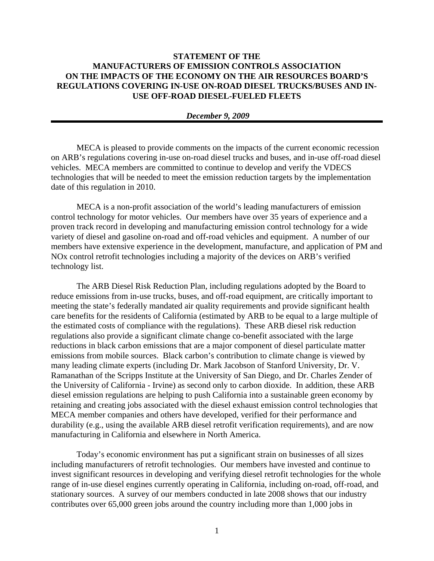## **STATEMENT OF THE MANUFACTURERS OF EMISSION CONTROLS ASSOCIATION ON THE IMPACTS OF THE ECONOMY ON THE AIR RESOURCES BOARD'S REGULATIONS COVERING IN-USE ON-ROAD DIESEL TRUCKS/BUSES AND IN-USE OFF-ROAD DIESEL-FUELED FLEETS**

## *December 9, 2009*

MECA is pleased to provide comments on the impacts of the current economic recession on ARB's regulations covering in-use on-road diesel trucks and buses, and in-use off-road diesel vehicles. MECA members are committed to continue to develop and verify the VDECS technologies that will be needed to meet the emission reduction targets by the implementation date of this regulation in 2010.

MECA is a non-profit association of the world's leading manufacturers of emission control technology for motor vehicles. Our members have over 35 years of experience and a proven track record in developing and manufacturing emission control technology for a wide variety of diesel and gasoline on-road and off-road vehicles and equipment. A number of our members have extensive experience in the development, manufacture, and application of PM and NOx control retrofit technologies including a majority of the devices on ARB's verified technology list.

 The ARB Diesel Risk Reduction Plan, including regulations adopted by the Board to reduce emissions from in-use trucks, buses, and off-road equipment, are critically important to meeting the state's federally mandated air quality requirements and provide significant health care benefits for the residents of California (estimated by ARB to be equal to a large multiple of the estimated costs of compliance with the regulations). These ARB diesel risk reduction regulations also provide a significant climate change co-benefit associated with the large reductions in black carbon emissions that are a major component of diesel particulate matter emissions from mobile sources. Black carbon's contribution to climate change is viewed by many leading climate experts (including Dr. Mark Jacobson of Stanford University, Dr. V. Ramanathan of the Scripps Institute at the University of San Diego, and Dr. Charles Zender of the University of California - Irvine) as second only to carbon dioxide. In addition, these ARB diesel emission regulations are helping to push California into a sustainable green economy by retaining and creating jobs associated with the diesel exhaust emission control technologies that MECA member companies and others have developed, verified for their performance and durability (e.g., using the available ARB diesel retrofit verification requirements), and are now manufacturing in California and elsewhere in North America.

Today's economic environment has put a significant strain on businesses of all sizes including manufacturers of retrofit technologies. Our members have invested and continue to invest significant resources in developing and verifying diesel retrofit technologies for the whole range of in-use diesel engines currently operating in California, including on-road, off-road, and stationary sources. A survey of our members conducted in late 2008 shows that our industry contributes over 65,000 green jobs around the country including more than 1,000 jobs in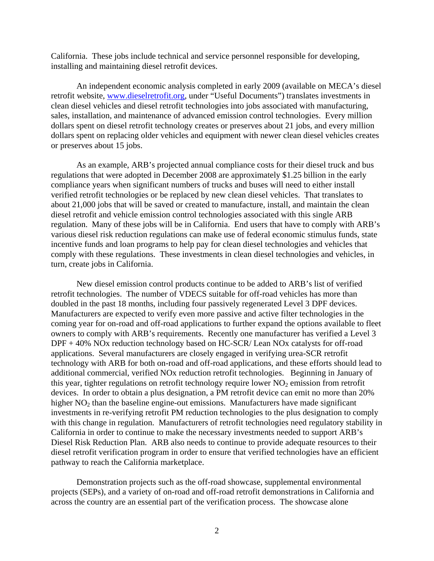California. These jobs include technical and service personnel responsible for developing, installing and maintaining diesel retrofit devices.

An independent economic analysis completed in early 2009 (available on MECA's diesel retrofit website, www.dieselretrofit.org, under "Useful Documents") translates investments in clean diesel vehicles and diesel retrofit technologies into jobs associated with manufacturing, sales, installation, and maintenance of advanced emission control technologies. Every million dollars spent on diesel retrofit technology creates or preserves about 21 jobs, and every million dollars spent on replacing older vehicles and equipment with newer clean diesel vehicles creates or preserves about 15 jobs.

As an example, ARB's projected annual compliance costs for their diesel truck and bus regulations that were adopted in December 2008 are approximately \$1.25 billion in the early compliance years when significant numbers of trucks and buses will need to either install verified retrofit technologies or be replaced by new clean diesel vehicles. That translates to about 21,000 jobs that will be saved or created to manufacture, install, and maintain the clean diesel retrofit and vehicle emission control technologies associated with this single ARB regulation. Many of these jobs will be in California. End users that have to comply with ARB's various diesel risk reduction regulations can make use of federal economic stimulus funds, state incentive funds and loan programs to help pay for clean diesel technologies and vehicles that comply with these regulations. These investments in clean diesel technologies and vehicles, in turn, create jobs in California.

New diesel emission control products continue to be added to ARB's list of verified retrofit technologies. The number of VDECS suitable for off-road vehicles has more than doubled in the past 18 months, including four passively regenerated Level 3 DPF devices. Manufacturers are expected to verify even more passive and active filter technologies in the coming year for on-road and off-road applications to further expand the options available to fleet owners to comply with ARB's requirements. Recently one manufacturer has verified a Level 3 DPF + 40% NOx reduction technology based on HC-SCR/ Lean NOx catalysts for off-road applications. Several manufacturers are closely engaged in verifying urea-SCR retrofit technology with ARB for both on-road and off-road applications, and these efforts should lead to additional commercial, verified NOx reduction retrofit technologies. Beginning in January of this year, tighter regulations on retrofit technology require lower  $NO<sub>2</sub>$  emission from retrofit devices. In order to obtain a plus designation, a PM retrofit device can emit no more than 20% higher  $NO<sub>2</sub>$  than the baseline engine-out emissions. Manufacturers have made significant investments in re-verifying retrofit PM reduction technologies to the plus designation to comply with this change in regulation. Manufacturers of retrofit technologies need regulatory stability in California in order to continue to make the necessary investments needed to support ARB's Diesel Risk Reduction Plan. ARB also needs to continue to provide adequate resources to their diesel retrofit verification program in order to ensure that verified technologies have an efficient pathway to reach the California marketplace.

Demonstration projects such as the off-road showcase, supplemental environmental projects (SEPs), and a variety of on-road and off-road retrofit demonstrations in California and across the country are an essential part of the verification process. The showcase alone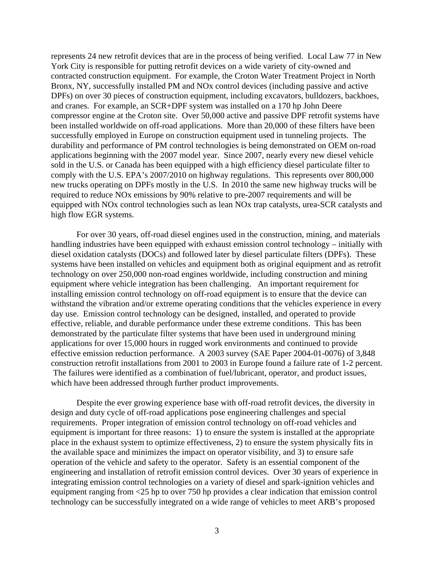represents 24 new retrofit devices that are in the process of being verified. Local Law 77 in New York City is responsible for putting retrofit devices on a wide variety of city-owned and contracted construction equipment. For example, the Croton Water Treatment Project in North Bronx, NY, successfully installed PM and NOx control devices (including passive and active DPFs) on over 30 pieces of construction equipment, including excavators, bulldozers, backhoes, and cranes. For example, an SCR+DPF system was installed on a 170 hp John Deere compressor engine at the Croton site. Over 50,000 active and passive DPF retrofit systems have been installed worldwide on off-road applications. More than 20,000 of these filters have been successfully employed in Europe on construction equipment used in tunneling projects. The durability and performance of PM control technologies is being demonstrated on OEM on-road applications beginning with the 2007 model year. Since 2007, nearly every new diesel vehicle sold in the U.S. or Canada has been equipped with a high efficiency diesel particulate filter to comply with the U.S. EPA's 2007/2010 on highway regulations. This represents over 800,000 new trucks operating on DPFs mostly in the U.S. In 2010 the same new highway trucks will be required to reduce NOx emissions by 90% relative to pre-2007 requirements and will be equipped with NOx control technologies such as lean NOx trap catalysts, urea-SCR catalysts and high flow EGR systems.

For over 30 years, off-road diesel engines used in the construction, mining, and materials handling industries have been equipped with exhaust emission control technology – initially with diesel oxidation catalysts (DOCs) and followed later by diesel particulate filters (DPFs). These systems have been installed on vehicles and equipment both as original equipment and as retrofit technology on over 250,000 non-road engines worldwide, including construction and mining equipment where vehicle integration has been challenging. An important requirement for installing emission control technology on off-road equipment is to ensure that the device can withstand the vibration and/or extreme operating conditions that the vehicles experience in every day use. Emission control technology can be designed, installed, and operated to provide effective, reliable, and durable performance under these extreme conditions. This has been demonstrated by the particulate filter systems that have been used in underground mining applications for over 15,000 hours in rugged work environments and continued to provide effective emission reduction performance. A 2003 survey (SAE Paper 2004-01-0076) of 3,848 construction retrofit installations from 2001 to 2003 in Europe found a failure rate of 1-2 percent. The failures were identified as a combination of fuel/lubricant, operator, and product issues, which have been addressed through further product improvements.

Despite the ever growing experience base with off-road retrofit devices, the diversity in design and duty cycle of off-road applications pose engineering challenges and special requirements. Proper integration of emission control technology on off-road vehicles and equipment is important for three reasons: 1) to ensure the system is installed at the appropriate place in the exhaust system to optimize effectiveness, 2) to ensure the system physically fits in the available space and minimizes the impact on operator visibility, and 3) to ensure safe operation of the vehicle and safety to the operator. Safety is an essential component of the engineering and installation of retrofit emission control devices. Over 30 years of experience in integrating emission control technologies on a variety of diesel and spark-ignition vehicles and equipment ranging from <25 hp to over 750 hp provides a clear indication that emission control technology can be successfully integrated on a wide range of vehicles to meet ARB's proposed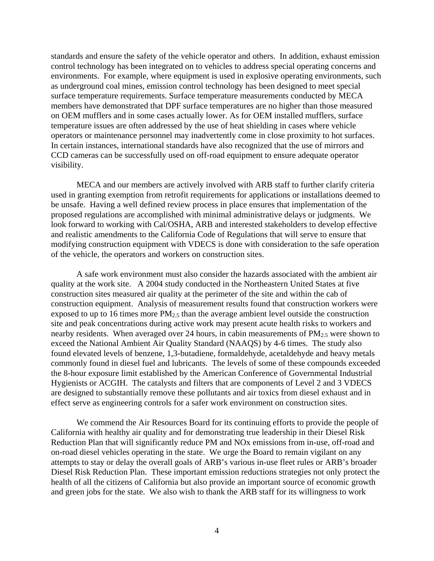standards and ensure the safety of the vehicle operator and others. In addition, exhaust emission control technology has been integrated on to vehicles to address special operating concerns and environments. For example, where equipment is used in explosive operating environments, such as underground coal mines, emission control technology has been designed to meet special surface temperature requirements. Surface temperature measurements conducted by MECA members have demonstrated that DPF surface temperatures are no higher than those measured on OEM mufflers and in some cases actually lower. As for OEM installed mufflers, surface temperature issues are often addressed by the use of heat shielding in cases where vehicle operators or maintenance personnel may inadvertently come in close proximity to hot surfaces. In certain instances, international standards have also recognized that the use of mirrors and CCD cameras can be successfully used on off-road equipment to ensure adequate operator visibility.

MECA and our members are actively involved with ARB staff to further clarify criteria used in granting exemption from retrofit requirements for applications or installations deemed to be unsafe. Having a well defined review process in place ensures that implementation of the proposed regulations are accomplished with minimal administrative delays or judgments. We look forward to working with Cal/OSHA, ARB and interested stakeholders to develop effective and realistic amendments to the California Code of Regulations that will serve to ensure that modifying construction equipment with VDECS is done with consideration to the safe operation of the vehicle, the operators and workers on construction sites.

A safe work environment must also consider the hazards associated with the ambient air quality at the work site. A 2004 study conducted in the Northeastern United States at five construction sites measured air quality at the perimeter of the site and within the cab of construction equipment. Analysis of measurement results found that construction workers were exposed to up to 16 times more  $PM_{2.5}$  than the average ambient level outside the construction site and peak concentrations during active work may present acute health risks to workers and nearby residents. When averaged over 24 hours, in cabin measurements of  $PM_{2.5}$  were shown to exceed the National Ambient Air Quality Standard (NAAQS) by 4-6 times. The study also found elevated levels of benzene, 1,3-butadiene, formaldehyde, acetaldehyde and heavy metals commonly found in diesel fuel and lubricants. The levels of some of these compounds exceeded the 8-hour exposure limit established by the American Conference of Governmental Industrial Hygienists or ACGIH. The catalysts and filters that are components of Level 2 and 3 VDECS are designed to substantially remove these pollutants and air toxics from diesel exhaust and in effect serve as engineering controls for a safer work environment on construction sites.

 We commend the Air Resources Board for its continuing efforts to provide the people of California with healthy air quality and for demonstrating true leadership in their Diesel Risk Reduction Plan that will significantly reduce PM and NOx emissions from in-use, off-road and on-road diesel vehicles operating in the state. We urge the Board to remain vigilant on any attempts to stay or delay the overall goals of ARB's various in-use fleet rules or ARB's broader Diesel Risk Reduction Plan. These important emission reductions strategies not only protect the health of all the citizens of California but also provide an important source of economic growth and green jobs for the state. We also wish to thank the ARB staff for its willingness to work